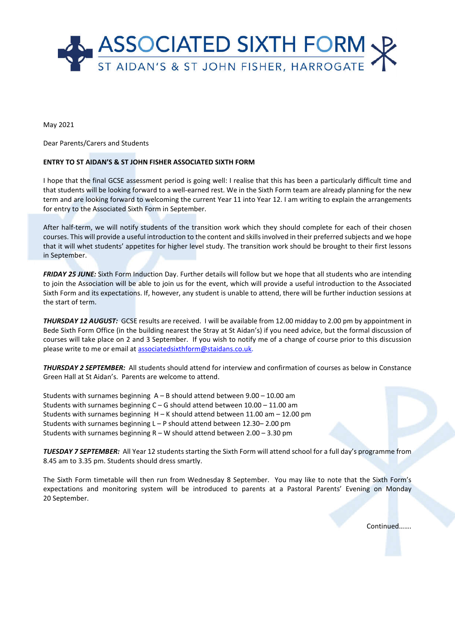

May 2021

Dear Parents/Carers and Students

## **ENTRY TO ST AIDAN'S & ST JOHN FISHER ASSOCIATED SIXTH FORM**

I hope that the final GCSE assessment period is going well: I realise that this has been a particularly difficult time and that students will be looking forward to a well-earned rest. We in the Sixth Form team are already planning for the new term and are looking forward to welcoming the current Year 11 into Year 12. I am writing to explain the arrangements for entry to the Associated Sixth Form in September.

After half-term, we will notify students of the transition work which they should complete for each of their chosen courses. This will provide a useful introduction to the content and skills involved in their preferred subjects and we hope that it will whet students' appetites for higher level study. The transition work should be brought to their first lessons in September.

*FRIDAY 25 JUNE:* Sixth Form Induction Day. Further details will follow but we hope that all students who are intending to join the Association will be able to join us for the event, which will provide a useful introduction to the Associated Sixth Form and its expectations. If, however, any student is unable to attend, there will be further induction sessions at the start of term.

*THURSDAY 12 AUGUST:* GCSE results are received. I will be available from 12.00 midday to 2.00 pm by appointment in Bede Sixth Form Office (in the building nearest the Stray at St Aidan's) if you need advice, but the formal discussion of courses will take place on 2 and 3 September. If you wish to notify me of a change of course prior to this discussion please write to me or email at associatedsixthform@staidans.co.uk.

*THURSDAY 2 SEPTEMBER:* All students should attend for interview and confirmation of courses as below in Constance Green Hall at St Aidan's. Parents are welcome to attend.

Students with surnames beginning A – B should attend between 9.00 – 10.00 am Students with surnames beginning C – G should attend between 10.00 – 11.00 am Students with surnames beginning  $H - K$  should attend between 11.00 am  $-$  12.00 pm Students with surnames beginning L – P should attend between 12.30– 2.00 pm Students with surnames beginning  $R - W$  should attend between 2.00 – 3.30 pm

*TUESDAY 7 SEPTEMBER:* All Year 12 students starting the Sixth Form will attend school for a full day's programme from 8.45 am to 3.35 pm. Students should dress smartly.

The Sixth Form timetable will then run from Wednesday 8 September. You may like to note that the Sixth Form's expectations and monitoring system will be introduced to parents at a Pastoral Parents' Evening on Monday 20 September.

Continued…….